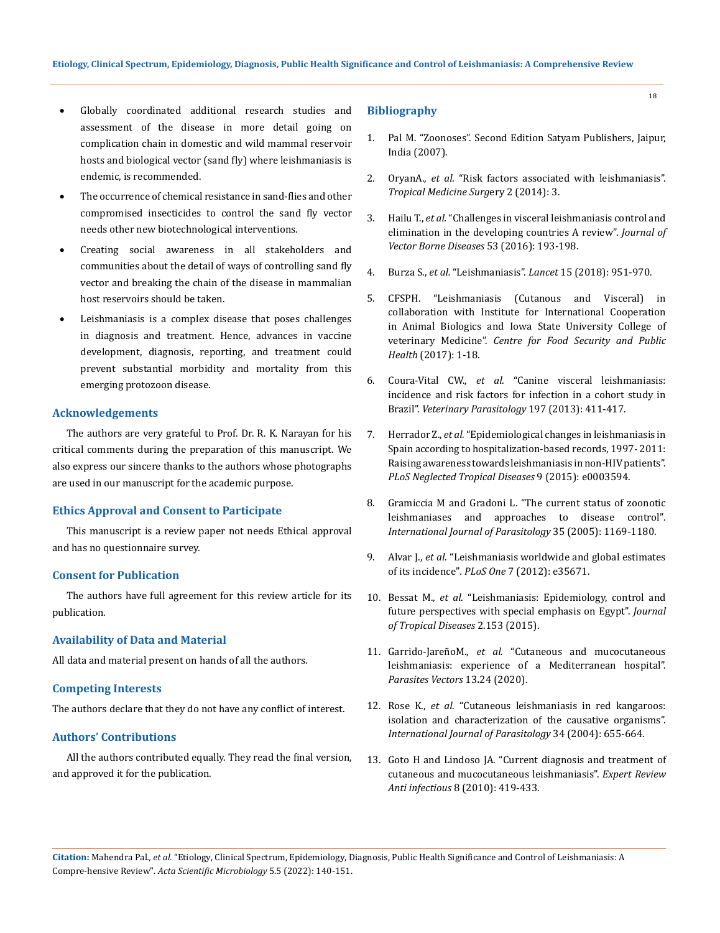- Globally coordinated additional research studies and assessment of the disease in more detail going on complication chain in domestic and wild mammal reservoir hosts and biological vector (sand fly) where leishmaniasis is endemic, is recommended.
- The occurrence of chemical resistance in sand-flies and other compromised insecticides to control the sand fly vector needs other new biotechnological interventions.
- Creating social awareness in all stakeholders and communities about the detail of ways of controlling sand fly vector and breaking the chain of the disease in mammalian host reservoirs should be taken.
- Leishmaniasis is a complex disease that poses challenges in diagnosis and treatment. Hence, advances in vaccine development, diagnosis, reporting, and treatment could prevent substantial morbidity and mortality from this emerging protozoon disease.

### **Acknowledgements**

The authors are very grateful to Prof. Dr. R. K. Narayan for his critical comments during the preparation of this manuscript. We also express our sincere thanks to the authors whose photographs are used in our manuscript for the academic purpose.

# **Ethics Approval and Consent to Participate**

This manuscript is a review paper not needs Ethical approval and has no questionnaire survey.

## **Consent for Publication**

The authors have full agreement for this review article for its publication.

#### **Availability of Data and Material**

All data and material present on hands of all the authors.

## **Competing Interests**

The authors declare that they do not have any conflict of interest.

# **Authors' Contributions**

All the authors contributed equally. They read the final version, and approved it for the publication.

#### **Bibliography**

- 1. Pal M. "Zoonoses". Second Edition Satyam Publishers, Jaipur, India (2007).
- 2. OryanA., *et al.* ["Risk factors associated with leishmaniasis".](http://dx.doi.org/10.4172/2329-9088.1000e118)  *[Tropical Medicine Surg](http://dx.doi.org/10.4172/2329-9088.1000e118)*ery 2 (2014): 3.
- 3. Hailu T., *et al.* ["Challenges in visceral leishmaniasis control and](https://pubmed.ncbi.nlm.nih.gov/27681541/)  [elimination in the developing countries A review".](https://pubmed.ncbi.nlm.nih.gov/27681541/) *Journal of [Vector Borne Diseases](https://pubmed.ncbi.nlm.nih.gov/27681541/)* 53 (2016): 193-198.
- 4. Burza S., *et al.* "Leishmaniasis". *Lancet* [15 \(2018\): 951-970.](https://pubmed.ncbi.nlm.nih.gov/30126638/)
- 5. [CFSPH. "Leishmaniasis \(Cutanous and Visceral\) in](https://www.cfsph.iastate.edu/Factsheets/pdfs/leishmaniasis.pdf)  [collaboration with Institute for International Cooperation](https://www.cfsph.iastate.edu/Factsheets/pdfs/leishmaniasis.pdf)  [in Animal Biologics and Iowa State University College of](https://www.cfsph.iastate.edu/Factsheets/pdfs/leishmaniasis.pdf)  veterinary Medicine". *[Centre for Food Security and Public](https://www.cfsph.iastate.edu/Factsheets/pdfs/leishmaniasis.pdf) Health* [\(2017\): 1-18.](https://www.cfsph.iastate.edu/Factsheets/pdfs/leishmaniasis.pdf)
- 6. Coura-Vital CW., *et al*. "Canine visceral leishmaniasis: incidence and risk factors for infection in a cohort study in Brazil". *Veterinary Parasitology* 197 (2013): 411-417.
- 7. Herrador Z., *et al.* ["Epidemiological changes in leishmaniasis in](https://journals.plos.org/plosntds/article?id=10.1371/journal.pntd.0003594)  [Spain according to hospitalization-based records, 1997- 2011:](https://journals.plos.org/plosntds/article?id=10.1371/journal.pntd.0003594)  [Raising awareness towards leishmaniasis in non-HIV patients".](https://journals.plos.org/plosntds/article?id=10.1371/journal.pntd.0003594)  *[PLoS Neglected Tropical Diseases](https://journals.plos.org/plosntds/article?id=10.1371/journal.pntd.0003594)* 9 (2015): e0003594.
- 8. [Gramiccia M and Gradoni L. "The current status of zoonotic](https://pubmed.ncbi.nlm.nih.gov/16162348/)  [leishmaniases and approaches to disease control"](https://pubmed.ncbi.nlm.nih.gov/16162348/)*. [International Journal of Parasitology](https://pubmed.ncbi.nlm.nih.gov/16162348/)* 35 (2005): 1169-1180.
- 9. Alvar J., *et al*[. "Leishmaniasis worldwide and global estimates](https://journals.plos.org/plosone/article?id=10.1371/journal.pone.0035671)  of its incidence"*. PLoS One* 7 [\(2012\): e35671.](https://journals.plos.org/plosone/article?id=10.1371/journal.pone.0035671)
- 10. Bessat M., *et al*[. "Leishmaniasis: Epidemiology, control and](https://www.readcube.com/articles/10.4172%2F2329-891x.1000153)  [future perspectives with special emphasis on Egypt".](https://www.readcube.com/articles/10.4172%2F2329-891x.1000153) *Journal [of Tropical Diseases](https://www.readcube.com/articles/10.4172%2F2329-891x.1000153)* 2.153 (2015).
- 11. Garrido-JareñoM., et al[. "Cutaneous and mucocutaneous](https://parasitesandvectors.biomedcentral.com/articles/10.1186/s13071-020-3901-1) [leishmaniasis: experience of a Mediterranean hospital".](https://parasitesandvectors.biomedcentral.com/articles/10.1186/s13071-020-3901-1)  *[Parasites Vectors](https://parasitesandvectors.biomedcentral.com/articles/10.1186/s13071-020-3901-1)* 13**.**24 (2020).
- 12. Rose K., *et al*[. "Cutaneous leishmaniasis in red kangaroos:](https://www.sciencedirect.com/science/article/abs/pii/S0020751904000591)  [isolation and characterization of the causative organisms".](https://www.sciencedirect.com/science/article/abs/pii/S0020751904000591)  *[International Journal of Parasitology](https://www.sciencedirect.com/science/article/abs/pii/S0020751904000591)* 34 (2004): 655-664.
- 13. [Goto H and Lindoso JA. "Current diagnosis and treatment of](https://pubmed.ncbi.nlm.nih.gov/20377337/)  [cutaneous and mucocutaneous leishmaniasis".](https://pubmed.ncbi.nlm.nih.gov/20377337/) *Expert Review Anti infectious* [8 \(2010\): 419-433.](https://pubmed.ncbi.nlm.nih.gov/20377337/)

**Citation:** Mahendra Pal*., et al.* "Etiology, Clinical Spectrum, Epidemiology, Diagnosis, Public Health Significance and Control of Leishmaniasis: A Compre-hensive Review". *Acta Scientific Microbiology* 5.5 (2022): 140-151.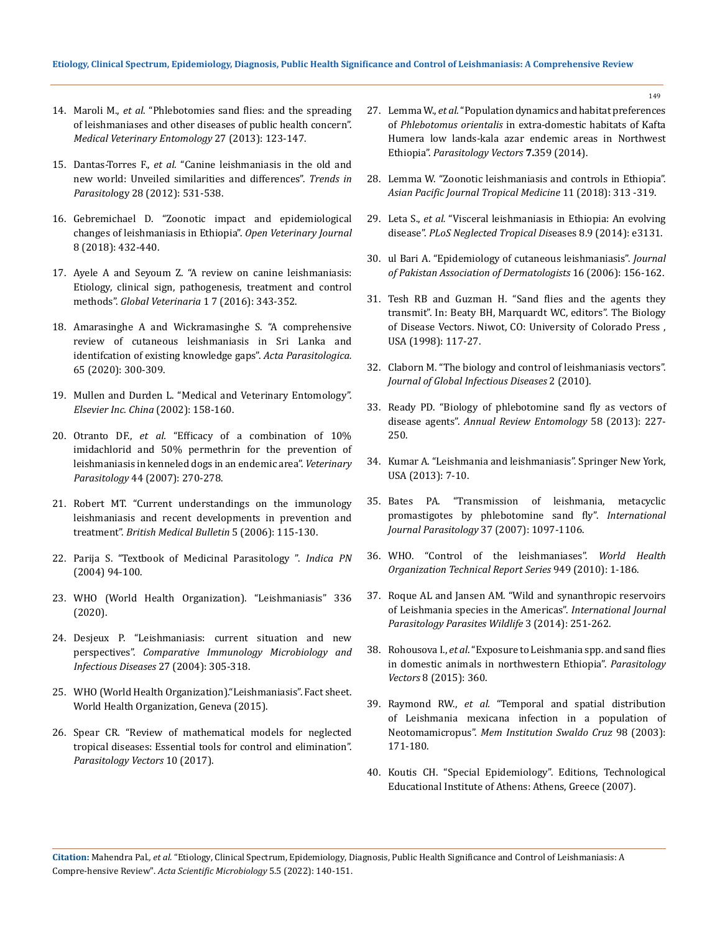- 14. Maroli M., *et al*[. "Phlebotomies sand flies: and the spreading](https://pubmed.ncbi.nlm.nih.gov/22924419/)  [of leishmaniases and other diseases of public health concern".](https://pubmed.ncbi.nlm.nih.gov/22924419/)  *[Medical Veterinary Entomology](https://pubmed.ncbi.nlm.nih.gov/22924419/)* 27 (2013): 123-147.
- 15. Dantas-Torres F., *et al.* ["Canine leishmaniasis in the old and](https://pubmed.ncbi.nlm.nih.gov/22995719/) [new world: Unveiled similarities and differences".](https://pubmed.ncbi.nlm.nih.gov/22995719/) *Trends in Parasitol*[ogy 28 \(2012\): 531-538.](https://pubmed.ncbi.nlm.nih.gov/22995719/)
- 16. [Gebremichael D. "Zoonotic impact and epidemiological](https://pubmed.ncbi.nlm.nih.gov/30538935/)  [changes of leishmaniasis in Ethiopia".](https://pubmed.ncbi.nlm.nih.gov/30538935/) *Open Veterinary Journal* [8 \(2018\): 432-440.](https://pubmed.ncbi.nlm.nih.gov/30538935/)
- 17. [Ayele A and Seyoum Z. "A review on canine leishmaniasis:](https://www.researchgate.net/publication/308796685_A_Review_on_Canine_Leishmaniasis_Etiology_Clinical_Sign_Pathogenesis_Treatment_and_Control_Methods)  [Etiology, clinical sign, pathogenesis, treatment and control](https://www.researchgate.net/publication/308796685_A_Review_on_Canine_Leishmaniasis_Etiology_Clinical_Sign_Pathogenesis_Treatment_and_Control_Methods) methods". *[Global Veterinaria](https://www.researchgate.net/publication/308796685_A_Review_on_Canine_Leishmaniasis_Etiology_Clinical_Sign_Pathogenesis_Treatment_and_Control_Methods)* 1 7 (2016): 343-352.
- 18. [Amarasinghe A and Wickramasinghe S. "A comprehensive](https://pubmed.ncbi.nlm.nih.gov/32052240/)  [review of cutaneous leishmaniasis in Sri Lanka and](https://pubmed.ncbi.nlm.nih.gov/32052240/)  [identifcation of existing knowledge gaps".](https://pubmed.ncbi.nlm.nih.gov/32052240/) *Acta Parasitologica.* [65 \(2020\): 300-309.](https://pubmed.ncbi.nlm.nih.gov/32052240/)
- 19. Mullen and Durden L. "Medical and Veterinary Entomology". *Elsevier Inc. China* (2002): 158-160.
- 20. Otranto DF., *et al.* ["Efficacy of a combination of 10%](https://pubmed.ncbi.nlm.nih.gov/17258860/)  [imidachlorid and 50% permethrin for the prevention of](https://pubmed.ncbi.nlm.nih.gov/17258860/)  [leishmaniasis in kenneled dogs in an endemic area".](https://pubmed.ncbi.nlm.nih.gov/17258860/) *Veterinary Parasitology* [44 \(2007\): 270-278.](https://pubmed.ncbi.nlm.nih.gov/17258860/)
- 21. [Robert MT. "Current understandings on the immunology](https://academic.oup.com/bmb/article/75-76/1/115/333355)  [leishmaniasis and recent developments in prevention and](https://academic.oup.com/bmb/article/75-76/1/115/333355)  treatment". *[British Medical Bulletin](https://academic.oup.com/bmb/article/75-76/1/115/333355)* 5 (2006): 115-130.
- 22. Parija S. "Textbook of Medicinal Parasitology ". *Indica PN* (2004) 94-100.
- 23. [WHO \(World Health Organization\). "Leishmaniasis" 336](https://www.who.int/leishmaniasis/disease/clinical_forms_leishmaniases/en/)  [\(2020\).](https://www.who.int/leishmaniasis/disease/clinical_forms_leishmaniases/en/)
- 24. [Desjeux P. "Leishmaniasis: current situation and new](https://pubmed.ncbi.nlm.nih.gov/15225981/)  perspectives". *[Comparative Immunology Microbiology and](https://pubmed.ncbi.nlm.nih.gov/15225981/) [Infectious Diseases](https://pubmed.ncbi.nlm.nih.gov/15225981/)* 27 (2004): 305-318.
- 25. [WHO \(World Health Organization\)."Leishmaniasis". Fact sheet.](http://www.who.int/mediacentre/factsheets/fs375/en/)  [World Health Organization, Geneva \(2015\).](http://www.who.int/mediacentre/factsheets/fs375/en/)
- 26. [Spear CR. "Review of mathematical models for neglected](https://parasitesandvectors.biomedcentral.com/articles/10.1186/s13071-017-1974-2)  [tropical diseases: Essential tools for control and elimination".](https://parasitesandvectors.biomedcentral.com/articles/10.1186/s13071-017-1974-2)  *[Parasitology Vectors](https://parasitesandvectors.biomedcentral.com/articles/10.1186/s13071-017-1974-2)* 10 (2017).
- 27. Lemma W., *et al.* ["Population dynamics and habitat preferences](https://parasitesandvectors.biomedcentral.com/articles/10.1186/1756-3305-7-359)  of *Phlebotomus orientalis* [in extra-domestic habitats of Kafta](https://parasitesandvectors.biomedcentral.com/articles/10.1186/1756-3305-7-359)  [Humera low lands-kala azar endemic areas in Northwest](https://parasitesandvectors.biomedcentral.com/articles/10.1186/1756-3305-7-359)  Ethiopia". *[Parasitology Vectors](https://parasitesandvectors.biomedcentral.com/articles/10.1186/1756-3305-7-359)* **7.**359 (2014).
- 28. Lemma W. "Zoonotic leishmaniasis and controls in Ethiopia". *Asian Pacific Journal Tropical Medicine* 11 (2018): 313 -319.
- 29. Leta S., *et al.* "Visceral leishmaniasis in Ethiopia: An evolving disease". *PLoS Neglected Tropical Dis*eases 8.9 (2014): e3131.
- 30. [ul Bari A. "Epidemiology of cutaneous leishmaniasis".](https://www.researchgate.net/publication/229025810_Epidemiology_of_cutaneous_leishmaniasis) *Journal [of Pakistan Association of Dermatologists](https://www.researchgate.net/publication/229025810_Epidemiology_of_cutaneous_leishmaniasis)* 16 (2006): 156-162.
- 31. Tesh RB and Guzman H. "Sand flies and the agents they transmit". In: Beaty BH, Marquardt WC, editors". The Biology of Disease Vectors. Niwot, CO: University of Colorado Press , USA (1998): 117-27.
- 32. [Claborn M. "The biology and control of leishmaniasis vectors".](https://www.jgid.org/article.asp?issn=0974-777X;year=2010;volume=2;issue=2;spage=127;epage=134;aulast=)  *[Journal of Global Infectious Diseases](https://www.jgid.org/article.asp?issn=0974-777X;year=2010;volume=2;issue=2;spage=127;epage=134;aulast=)* 2 (2010).
- 33. Ready PD. "Biology of phlebotomine sand fly as vectors of disease agents". *Annual Review Entomology* 58 (2013): 227- 250.
- 34. Kumar A. "Leishmania and leishmaniasis". Springer New York, USA (2013): 7-10.
- 35. [Bates PA. "Transmission of leishmania, metacyclic](https://pubmed.ncbi.nlm.nih.gov/17517415/)  [promastigotes by phlebotomine sand fly".](https://pubmed.ncbi.nlm.nih.gov/17517415/) *International [Journal Parasitology](https://pubmed.ncbi.nlm.nih.gov/17517415/)* 37 (2007): 1097-1106.
- 36. WHO. "Control of the leishmaniases". *World Health Organization Technical Report Series* 949 (2010): 1-186.
- 37. Roque AL and Jansen AM. "Wild and synanthropic reservoirs of Leishmania species in the Americas". *International Journal Parasitology Parasites Wildlife* 3 (2014): 251-262.
- 38. Rohousova I., *et al*[. "Exposure to Leishmania spp. and sand flies](https://www.ncbi.nlm.nih.gov/pmc/articles/PMC4495613/)  [in domestic animals in northwestern Ethiopia".](https://www.ncbi.nlm.nih.gov/pmc/articles/PMC4495613/) *Parasitology Vectors* [8 \(2015\): 360.](https://www.ncbi.nlm.nih.gov/pmc/articles/PMC4495613/)
- 39. Raymond RW., *et al.* ["Temporal and spatial distribution](https://pubmed.ncbi.nlm.nih.gov/12764430/) [of Leishmania mexicana infection in a population of](https://pubmed.ncbi.nlm.nih.gov/12764430/)  Neotomamicropus". *[Mem Institution Swaldo Cruz](https://pubmed.ncbi.nlm.nih.gov/12764430/)* 98 (2003): [171-180.](https://pubmed.ncbi.nlm.nih.gov/12764430/)
- 40. Koutis CH. "Special Epidemiology". Editions, Technological Educational Institute of Athens: Athens, Greece (2007).

**Citation:** Mahendra Pal*., et al.* "Etiology, Clinical Spectrum, Epidemiology, Diagnosis, Public Health Significance and Control of Leishmaniasis: A Compre-hensive Review". *Acta Scientific Microbiology* 5.5 (2022): 140-151.

149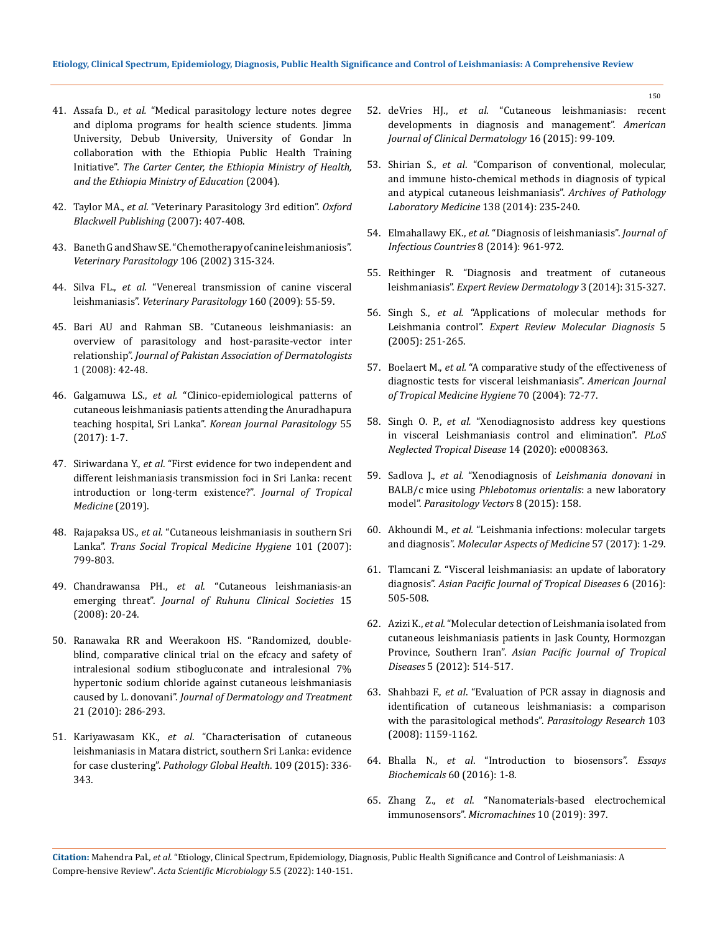- 41. Assafa D., *et al.* "Medical parasitology lecture notes degree and diploma programs for health science students. Jimma University, Debub University, University of Gondar In collaboration with the Ethiopia Public Health Training Initiative". *The Carter Center, the Ethiopia Ministry of Health, and the Ethiopia Ministry of Education* (2004).
- 42. Taylor MA., *et al.* "Veterinary Parasitology 3rd edition". *Oxford Blackwell Publishing* (2007): 407-408.
- 43. [Baneth G and Shaw SE. "Chemotherapy of canine leishmaniosis".](https://pubmed.ncbi.nlm.nih.gov/12079737/)  *[Veterinary Parasitology](https://pubmed.ncbi.nlm.nih.gov/12079737/)* 106 (2002) 315-324.
- 44. Silva FL., *et al.* "Venereal transmission of canine visceral leishmaniasis". *Veterinary Parasitology* 160 (2009): 55-59.
- 45. [Bari AU and Rahman SB. "Cutaneous leishmaniasis: an](https://www.researchgate.net/publication/287601433_Cutaneous_leishmaniasis_An_overview_of_parasitology_and_host-parasite-vector_inter_relationship)  [overview of parasitology and host-parasite-vector inter](https://www.researchgate.net/publication/287601433_Cutaneous_leishmaniasis_An_overview_of_parasitology_and_host-parasite-vector_inter_relationship)  relationship". *[Journal of Pakistan Association of Dermatologists](https://www.researchgate.net/publication/287601433_Cutaneous_leishmaniasis_An_overview_of_parasitology_and_host-parasite-vector_inter_relationship)*  [1 \(2008\): 42-48.](https://www.researchgate.net/publication/287601433_Cutaneous_leishmaniasis_An_overview_of_parasitology_and_host-parasite-vector_inter_relationship)
- 46. Galgamuwa LS., *et al.* ["Clinico-epidemiological patterns of](https://pubmed.ncbi.nlm.nih.gov/28285499/)  [cutaneous leishmaniasis patients attending the Anuradhapura](https://pubmed.ncbi.nlm.nih.gov/28285499/)  teaching hospital, Sri Lanka". *[Korean Journal Parasitology](https://pubmed.ncbi.nlm.nih.gov/28285499/)* 55 [\(2017\): 1-7.](https://pubmed.ncbi.nlm.nih.gov/28285499/)
- 47. Siriwardana Y., *et al*[. "First evidence for two independent and](https://doi.org/10.1155/2019/64759%2039)  [different leishmaniasis transmission foci in Sri Lanka: recent](https://doi.org/10.1155/2019/64759%2039)  [introduction or long-term existence?".](https://doi.org/10.1155/2019/64759%2039) *Journal of Tropical [Medicine](https://doi.org/10.1155/2019/64759%2039)* (2019).
- 48. Rajapaksa US., *et al*. "Cutaneous leishmaniasis in southern Sri Lanka". *Trans Social Tropical Medicine Hygiene* 101 (2007): 799-803.
- 49. Chandrawansa PH., *et al*. "Cutaneous leishmaniasis-an emerging threat". *Journal of Ruhunu Clinical Societies* 15 (2008): 20-24.
- 50. [Ranawaka RR and Weerakoon HS. "Randomized, double](https://pubmed.ncbi.nlm.nih.gov/20438389/)[blind, comparative clinical trial on the efcacy and safety of](https://pubmed.ncbi.nlm.nih.gov/20438389/)  [intralesional sodium stibogluconate and intralesional 7%](https://pubmed.ncbi.nlm.nih.gov/20438389/)  [hypertonic sodium chloride against cutaneous leishmaniasis](https://pubmed.ncbi.nlm.nih.gov/20438389/) caused by L. donovani". *[Journal of Dermatology and Treatment](https://pubmed.ncbi.nlm.nih.gov/20438389/)* [21 \(2010\): 286-293.](https://pubmed.ncbi.nlm.nih.gov/20438389/)
- 51. Kariyawasam KK., *et al*. "Characterisation of cutaneous leishmaniasis in Matara district, southern Sri Lanka: evidence for case clustering". *Pathology Global Health*. 109 (2015): 336- 343.
- 52. deVries HJ., *et al*[. "Cutaneous leishmaniasis: recent](https://pubmed.ncbi.nlm.nih.gov/25687688/)  [developments in diagnosis and management".](https://pubmed.ncbi.nlm.nih.gov/25687688/) *American [Journal of Clinical Dermatology](https://pubmed.ncbi.nlm.nih.gov/25687688/)* 16 (2015): 99-109.
- 53. Shirian S., *et al*[. "Comparison of conventional, molecular,](https://pubmed.ncbi.nlm.nih.gov/24476521/)  [and immune histo-chemical methods in diagnosis of typical](https://pubmed.ncbi.nlm.nih.gov/24476521/)  [and atypical cutaneous leishmaniasis".](https://pubmed.ncbi.nlm.nih.gov/24476521/) *Archives of Pathology [Laboratory Medicine](https://pubmed.ncbi.nlm.nih.gov/24476521/)* 138 (2014): 235-240.
- 54. Elmahallawy EK., *et al.* ["Diagnosis of leishmaniasis".](https://pubmed.ncbi.nlm.nih.gov/25116660/) *Journal of [Infectious Countries](https://pubmed.ncbi.nlm.nih.gov/25116660/)* 8 (2014): 961-972.
- 55. Reithinger R. "Diagnosis and treatment of cutaneous leishmaniasis". *Expert Review Dermatology* 3 (2014): 315-327.
- 56. Singh S., *et al.* ["Applications of molecular methods for](https://pubmed.ncbi.nlm.nih.gov/15833054/)  Leishmania control". *[Expert Review Molecular Diagnosis](https://pubmed.ncbi.nlm.nih.gov/15833054/)* 5 [\(2005\): 251-265.](https://pubmed.ncbi.nlm.nih.gov/15833054/)
- 57. Boelaert M., *et al.* ["A comparative study of the effectiveness of](https://pubmed.ncbi.nlm.nih.gov/14971701/)  [diagnostic tests for visceral leishmaniasis".](https://pubmed.ncbi.nlm.nih.gov/14971701/) *American Journal [of Tropical Medicine Hygiene](https://pubmed.ncbi.nlm.nih.gov/14971701/)* 70 (2004): 72-77.
- 58. Singh O. P., *et al.* ["Xenodiagnosisto address key questions](https://journals.plos.org/plosntds/article?id=10.1371/journal.pntd.0008363)  [in visceral Leishmaniasis control and elimination".](https://journals.plos.org/plosntds/article?id=10.1371/journal.pntd.0008363) *PLoS [Neglected Tropical Disease](https://journals.plos.org/plosntds/article?id=10.1371/journal.pntd.0008363)* 14 (2020): e0008363.
- 59. Sadlova J., *et al.* "Xenodiagnosis of *[Leishmania donovani](https://parasitesandvectors.biomedcentral.com/articles/10.1186/s13071-015-0765-x)* in BALB/c mice using *[Phlebotomus orientalis](https://parasitesandvectors.biomedcentral.com/articles/10.1186/s13071-015-0765-x)*: a new laboratory model". *[Parasitology Vectors](https://parasitesandvectors.biomedcentral.com/articles/10.1186/s13071-015-0765-x)* 8 (2015): 158.
- 60. Akhoundi M., *et al.* ["Leishmania infections: molecular targets](https://www.sciencedirect.com/science/article/pii/S0098299716300450)  and diagnosis". *[Molecular Aspects of Medicine](https://www.sciencedirect.com/science/article/pii/S0098299716300450)* 57 (2017): 1-29.
- 61. [Tlamcani Z. "Visceral leishmaniasis: an update of laboratory](https://www.sciencedirect.com/science/article/abs/pii/S2222180816610770)  diagnosis". *[Asian Pacific Journal of Tropical Diseases](https://www.sciencedirect.com/science/article/abs/pii/S2222180816610770)* 6 (2016): [505-508.](https://www.sciencedirect.com/science/article/abs/pii/S2222180816610770)
- 62. Azizi K., *et al.* ["Molecular detection of Leishmania isolated from](https://pubmed.ncbi.nlm.nih.gov/22647811/)  [cutaneous leishmaniasis patients in Jask County, Hormozgan](https://pubmed.ncbi.nlm.nih.gov/22647811/)  Province, Southern Iran". *[Asian Pacific Journal of Tropical](https://pubmed.ncbi.nlm.nih.gov/22647811/)  Diseases* [5 \(2012\): 514-517.](https://pubmed.ncbi.nlm.nih.gov/22647811/)
- 63. Shahbazi F., *et al*[. "Evaluation of PCR assay in diagnosis and](https://pubmed.ncbi.nlm.nih.gov/18651180/)  [identification of cutaneous leishmaniasis: a comparison](https://pubmed.ncbi.nlm.nih.gov/18651180/)  [with the parasitological methods".](https://pubmed.ncbi.nlm.nih.gov/18651180/) *Parasitology Research* 103 [\(2008\): 1159-1162.](https://pubmed.ncbi.nlm.nih.gov/18651180/)
- 64. Bhalla N., *et al*[. "Introduction to biosensors".](https://www.ncbi.nlm.nih.gov/pmc/articles/PMC4986445/) *Essays [Biochemicals](https://www.ncbi.nlm.nih.gov/pmc/articles/PMC4986445/)* 60 (2016): 1-8.
- 65. Zhang Z., *et al*[. "Nanomaterials-based electrochemical](https://www.researchgate.net/publication/333792443_Nanomaterials-Based_Electrochemical_Immunosensors)  immunosensors". *[Micromachines](https://www.researchgate.net/publication/333792443_Nanomaterials-Based_Electrochemical_Immunosensors)* 10 (2019): 397.

**Citation:** Mahendra Pal*., et al.* "Etiology, Clinical Spectrum, Epidemiology, Diagnosis, Public Health Significance and Control of Leishmaniasis: A Compre-hensive Review". *Acta Scientific Microbiology* 5.5 (2022): 140-151.

150